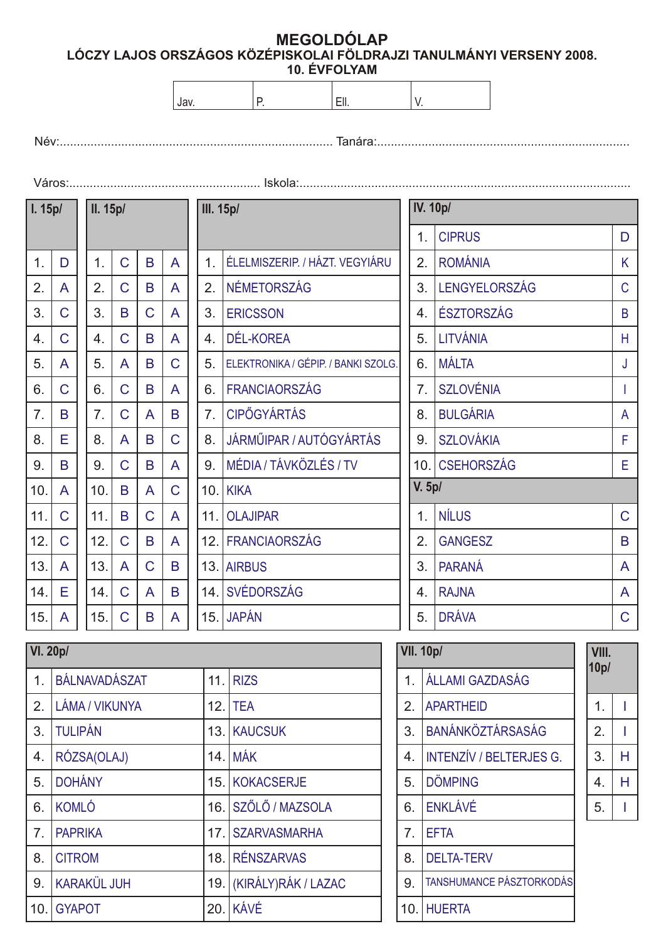**MEGOLDÓLAP LÓCZY LAJOS ORSZÁGOS KÖZÉPISKOLAI FÖLDRAJZI TANULMÁNYI VERSENY 2008. 10. ÉVFOLYAM**

Név:................................................................................ Tanára:..........................................................................

Város:........................................................ Iskola:.................................................................................................  $1.$  D A C C A  $\mathcal{C}$ C B C E A B E A A 2. 3. 4. 5. 6. 11. 7. 12. 8. 13. 9. 14. 10. 15.  **I. 15p/**  $1.$  C B A  $C$   $B$   $A$  $B C A$  $C$   $B$   $A$  $A \mid B \mid C$  $C$   $B$   $A$  $B | C | A$  $C | A | B$  $C$   $B$   $A$  $A \mid B \mid C$  $A C B$  $C$   $B$   $A$  $C | A | B$  $B | A | C$  $C$   $B$   $A$ 2. 3. 4. 5. 6. 11. 7. 12. 8. 13. 9. 14. 10. 15.  **II. 15p/** 1. ÉLELMISZERIP. / HÁZT. VEGYIÁRU 2. NÉMETORSZÁG 3. ERICSSON 4. DÉL-KOREA 5. ELEKTRONIKA / GÉPIP. / BANKI SZOLG. 6. FRANCIAORSZÁG 11. OLAJIPAR 7. CIPÕGYÁRTÁS 12. FRANCIAORSZÁG 8. JÁRMÛIPAR / AUTÓGYÁRTÁS 13. AIRBUS 9. 14. SVÉDORSZÁG 10. KIKA 15. JAPÁN  **III. 15p/** MÉDIA / TÁVKÖZLÉS / TV 1. CIPRUS 2. ROMÁNIA 3. LENGYELORSZÁG 4. ÉSZTORSZÁG 5. LITVÁNIA 6. MÁLTA 1. NÍLUS 7. SZLOVÉNIA 2. GANGESZ 8. BULGÁRIA 3. PARANÁ 9. SZLOVÁKIA 4. RAJNA 10. CSEHORSZÁG 5.  **IV. 10p/ V. 5p/** DRÁVA D K C B H J I A F E C B A A C

| <b>VI. 20p/</b> |                    |     |                        |
|-----------------|--------------------|-----|------------------------|
| 1.              | BÁLNAVADÁSZAT      | 11. | <b>RIZS</b>            |
| 2.              | LÁMA / VIKUNYA     | 12. | <b>TEA</b>             |
| 3.              | <b>TULIPÁN</b>     |     | 13. KAUCSUK            |
| 4.              | RÓZSA(OLAJ)        | 14. | <b>MÁK</b>             |
| 5.              | <b>DOHÁNY</b>      |     | 15. KOKACSERJE         |
| 6.              | <b>KOMLÓ</b>       |     | 16. SZŐLŐ / MAZSOLA    |
| 7 <sub>1</sub>  | <b>PAPRIKA</b>     |     | 17. SZARVASMARHA       |
| 8.              | <b>CITROM</b>      |     | 18. RÉNSZARVAS         |
| 9.              | <b>KARAKÜL JUH</b> |     | 19. KIRÁLY)RÁK / LAZAC |
| 10.             | <b>GYAPOT</b>      | 20. | KÁVÉ                   |

| <b>VII. 10p/</b> | 10p/                            |  |               |   |
|------------------|---------------------------------|--|---------------|---|
| $\mathbf 1$ .    | ÁLLAMI GAZDASÁG                 |  |               |   |
| 2.               | <b>APARTHEID</b>                |  | $\mathbf 1$ . |   |
| 3.               | BANÁNKÖZTÁRSASÁG                |  | 2.            |   |
| 4.               | <b>INTENZÍV / BELTERJES G.</b>  |  | 3.            | н |
| 5.               | <b>DÖMPING</b>                  |  | 4.            | н |
| 6.               | <b>ENKLÁVÉ</b>                  |  | 5.            |   |
| 7 <sub>1</sub>   | <b>EFTA</b>                     |  |               |   |
| 8.               | <b>DELTA-TERV</b>               |  |               |   |
| 9.               | <b>TANSHUMANCE PÁSZTORKODÁS</b> |  |               |   |
| 10.              | <b>HUERTA</b>                   |  |               |   |